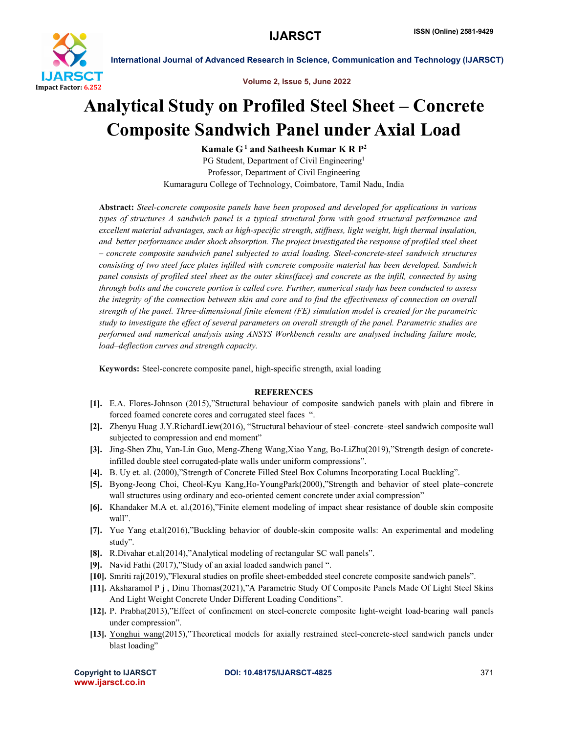

International Journal of Advanced Research in Science, Communication and Technology (IJARSCT)

Volume 2, Issue 5, June 2022

## Analytical Study on Profiled Steel Sheet – Concrete Composite Sandwich Panel under Axial Load

Kamale  $G<sup>1</sup>$  and Satheesh Kumar K R  $P<sup>2</sup>$ PG Student, Department of Civil Engineering<sup>1</sup> Professor, Department of Civil Engineering Kumaraguru College of Technology, Coimbatore, Tamil Nadu, India

Abstract: *Steel-concrete composite panels have been proposed and developed for applications in various types of structures A sandwich panel is a typical structural form with good structural performance and excellent material advantages, such as high-specific strength, stiffness, light weight, high thermal insulation, and better performance under shock absorption. The project investigated the response of profiled steel sheet – concrete composite sandwich panel subjected to axial loading. Steel-concrete-steel sandwich structures consisting of two steel face plates infilled with concrete composite material has been developed. Sandwich panel consists of profiled steel sheet as the outer skins(face) and concrete as the infill, connected by using through bolts and the concrete portion is called core. Further, numerical study has been conducted to assess the integrity of the connection between skin and core and to find the effectiveness of connection on overall strength of the panel. Three-dimensional finite element (FE) simulation model is created for the parametric study to investigate the effect of several parameters on overall strength of the panel. Parametric studies are performed and numerical analysis using ANSYS Workbench results are analysed including failure mode, load–deflection curves and strength capacity.*

Keywords: Steel-concrete composite panel, high-specific strength, axial loading

## **REFERENCES**

- [1]. E.A. Flores-Johnson (2015),"Structural behaviour of composite sandwich panels with plain and fibrere in forced foamed concrete cores and corrugated steel faces ".
- [2]. Zhenyu Huag J.Y.RichardLiew(2016), "Structural behaviour of steel–concrete–steel sandwich composite wall subjected to compression and end moment"
- [3]. Jing-Shen Zhu, Yan-Lin Guo, Meng-Zheng Wang,Xiao Yang, Bo-LiZhu(2019),"Strength design of concreteinfilled double steel corrugated-plate walls under uniform compressions".
- [4]. B. Uy et. al. (2000),"Strength of Concrete Filled Steel Box Columns Incorporating Local Buckling".
- [5]. Byong-Jeong Choi, Cheol-Kyu Kang,Ho-YoungPark(2000),"Strength and behavior of steel plate–concrete wall structures using ordinary and eco-oriented cement concrete under axial compression"
- [6]. Khandaker M.A et. al.(2016),"Finite element modeling of impact shear resistance of double skin composite wall".
- [7]. Yue Yang et.al(2016),"Buckling behavior of double-skin composite walls: An experimental and modeling study".
- [8]. R.Divahar et.al(2014),"Analytical modeling of rectangular SC wall panels".
- [9]. Navid Fathi (2017),"Study of an axial loaded sandwich panel ".
- [10]. Smriti raj(2019),"Flexural studies on profile sheet-embedded steel concrete composite sandwich panels".
- [11]. Aksharamol P j , Dinu Thomas(2021),"A Parametric Study Of Composite Panels Made Of Light Steel Skins And Light Weight Concrete Under Different Loading Conditions".
- [12]. P. Prabha(2013),"Effect of confinement on steel-concrete composite light-weight load-bearing wall panels under compression".
- [13]. Yonghui wang(2015),"Theoretical models for axially restrained steel-concrete-steel sandwich panels under blast loading"